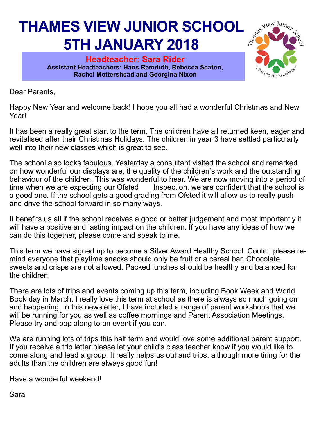## **THAMES VIEW JUNIOR SCHOOL 5TH JANUARY 2018**

**Headteacher: Sara Rider Assistant Headteachers: Hans Ramduth, Rebecca Seaton, Rachel Mottershead and Georgina Nixon** 



Dear Parents,

Happy New Year and welcome back! I hope you all had a wonderful Christmas and New Year!

It has been a really great start to the term. The children have all returned keen, eager and revitalised after their Christmas Holidays. The children in year 3 have settled particularly well into their new classes which is great to see.

The school also looks fabulous. Yesterday a consultant visited the school and remarked on how wonderful our displays are, the quality of the children's work and the outstanding behaviour of the children. This was wonderful to hear. We are now moving into a period of time when we are expecting our Ofsted Inspection, we are confident that the school is Inspection, we are confident that the school is a good one. If the school gets a good grading from Ofsted it will allow us to really push and drive the school forward in so many ways.

It benefits us all if the school receives a good or better judgement and most importantly it will have a positive and lasting impact on the children. If you have any ideas of how we can do this together, please come and speak to me.

This term we have signed up to become a Silver Award Healthy School. Could I please remind everyone that playtime snacks should only be fruit or a cereal bar. Chocolate, sweets and crisps are not allowed. Packed lunches should be healthy and balanced for the children.

There are lots of trips and events coming up this term, including Book Week and World Book day in March. I really love this term at school as there is always so much going on and happening. In this newsletter, I have included a range of parent workshops that we will be running for you as well as coffee mornings and Parent Association Meetings. Please try and pop along to an event if you can.

We are running lots of trips this half term and would love some additional parent support. If you receive a trip letter please let your child's class teacher know if you would like to come along and lead a group. It really helps us out and trips, although more tiring for the adults than the children are always good fun!

Have a wonderful weekend!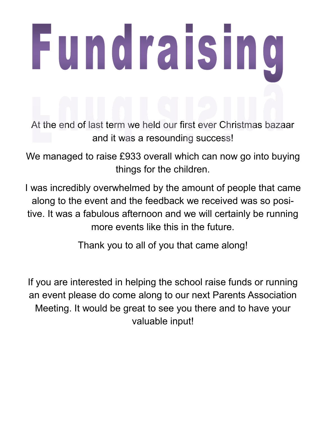## **Fundraising**

At the end of last term we held our first ever Christmas bazaar and it was a resounding success!

We managed to raise £933 overall which can now go into buying things for the children.

I was incredibly overwhelmed by the amount of people that came along to the event and the feedback we received was so positive. It was a fabulous afternoon and we will certainly be running more events like this in the future.

Thank you to all of you that came along!

If you are interested in helping the school raise funds or running an event please do come along to our next Parents Association Meeting. It would be great to see you there and to have your valuable input!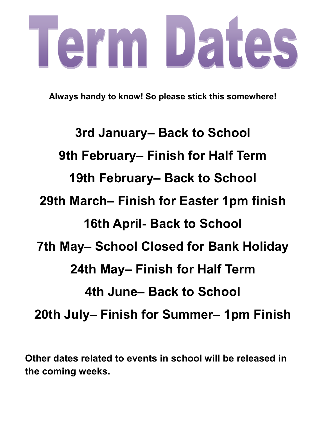## erm Dates

**Always handy to know! So please stick this somewhere!**

**3rd January– Back to School 9th February– Finish for Half Term 19th February– Back to School 29th March– Finish for Easter 1pm finish 16th April- Back to School 7th May– School Closed for Bank Holiday 24th May– Finish for Half Term 4th June– Back to School 20th July– Finish for Summer– 1pm Finish** 

**Other dates related to events in school will be released in the coming weeks.**